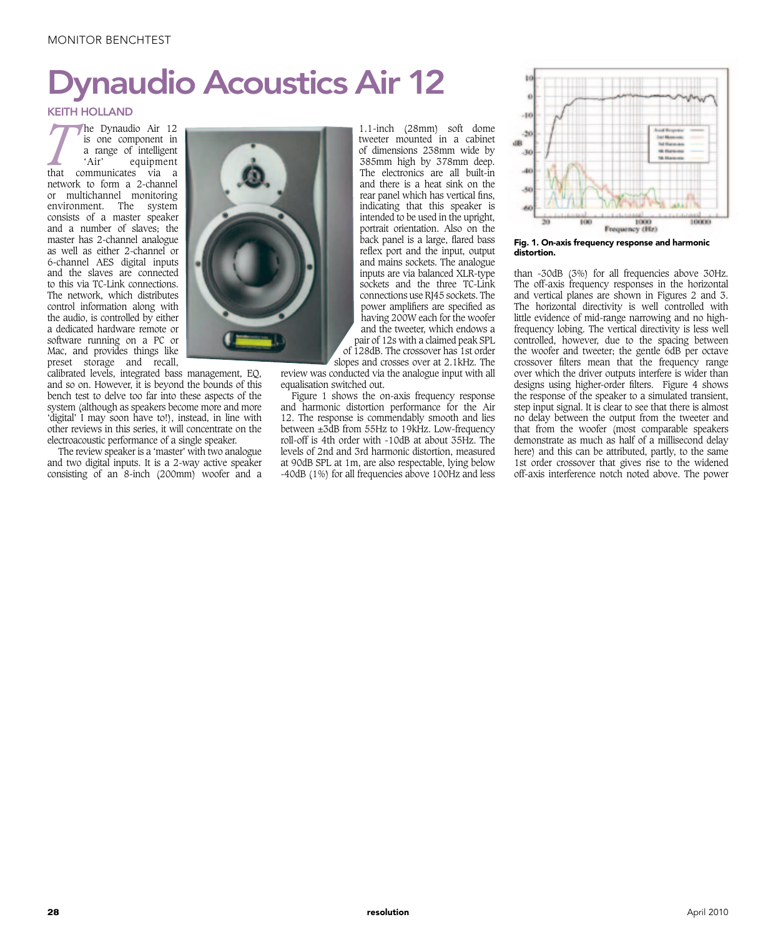## naudio Acoustics Air 12

## KEITH HOLLAND

**The Dynaudio Air 12**<br> **A** is one component in<br> **A** a range of intelligent<br>
that communicates via a is one component in a range of intelligent 'Air' equipment network to form a 2-channel or multichannel monitoring environment. The system consists of a master speaker and a number of slaves; the master has 2-channel analogue as well as either 2-channel or 6-channel AES digital inputs and the slaves are connected to this via TC-Link connections. The network, which distributes control information along with the audio, is controlled by either a dedicated hardware remote or software running on a PC or Mac, and provides things like preset storage and recall,

calibrated levels, integrated bass management, EQ, and so on. However, it is beyond the bounds of this bench test to delve too far into these aspects of the system (although as speakers become more and more 'digital' I may soon have to!), instead, in line with other reviews in this series, it will concentrate on the electroacoustic performance of a single speaker.

The review speaker is a 'master' with two analogue and two digital inputs. It is a 2-way active speaker consisting of an 8-inch (200mm) woofer and a



1.1-inch (28mm) soft dome tweeter mounted in a cabinet of dimensions 238mm wide by 385mm high by 378mm deep. The electronics are all built-in and there is a heat sink on the rear panel which has vertical fins, indicating that this speaker is intended to be used in the upright, portrait orientation. Also on the back panel is a large, flared bass reflex port and the input, output and mains sockets. The analogue inputs are via balanced XLR-type sockets and the three TC-Link connections use RJ45 sockets. The power amplifiers are specified as having 200W each for the woofer and the tweeter, which endows a pair of 12s with a claimed peak SPL of 128dB. The crossover has 1st order slopes and crosses over at 2.1kHz. The

review was conducted via the analogue input with all equalisation switched out.

Figure 1 shows the on-axis frequency response and harmonic distortion performance for the Air 12. The response is commendably smooth and lies between ±3dB from 55Hz to 19kHz. Low-frequency roll-off is 4th order with -10dB at about 35Hz. The levels of 2nd and 3rd harmonic distortion, measured at 90dB SPL at 1m, are also respectable, lying below -40dB (1%) for all frequencies above 100Hz and less



Fig. 1. On-axis frequency response and harmonic distortion.

than -30dB (3%) for all frequencies above 30Hz. The off-axis frequency responses in the horizontal and vertical planes are shown in Figures 2 and 3. The horizontal directivity is well controlled with little evidence of mid-range narrowing and no highfrequency lobing. The vertical directivity is less well controlled, however, due to the spacing between the woofer and tweeter; the gentle 6dB per octave crossover filters mean that the frequency range over which the driver outputs interfere is wider than designs using higher-order filters. Figure 4 shows the response of the speaker to a simulated transient, step input signal. It is clear to see that there is almost no delay between the output from the tweeter and that from the woofer (most comparable speakers demonstrate as much as half of a millisecond delay here) and this can be attributed, partly, to the same 1st order crossover that gives rise to the widened off-axis interference notch noted above. The power